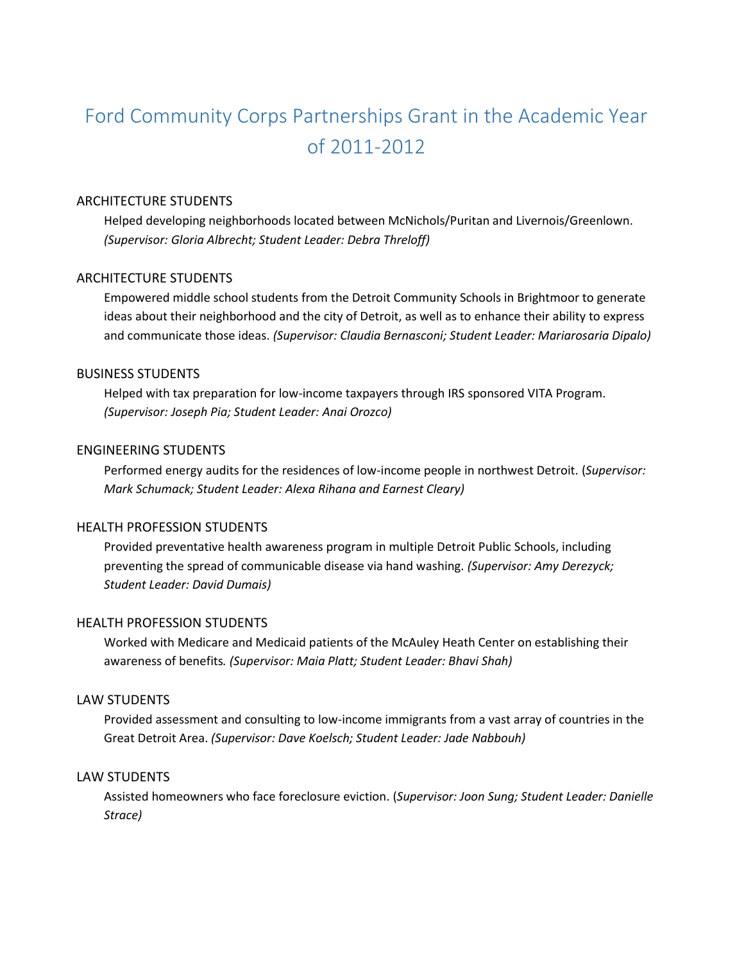# Ford Community Corps Partnerships Grant in the Academic Year of 2011-2012

#### ARCHITECTURE STUDENTS

Helped developing neighborhoods located between McNichols/Puritan and Livernois/Greenlown. *(Supervisor: Gloria Albrecht; Student Leader: Debra Threloff)*

#### ARCHITECTURE STUDENTS

Empowered middle school students from the Detroit Community Schools in Brightmoor to generate ideas about their neighborhood and the city of Detroit, as well as to enhance their ability to express and communicate those ideas. *(Supervisor: Claudia Bernasconi; Student Leader: Mariarosaria Dipalo)*

#### BUSINESS STUDENTS

Helped with tax preparation for low-income taxpayers through IRS sponsored VITA Program. *(Supervisor: Joseph Pia; Student Leader: Anai Orozco)*

## ENGINEERING STUDENTS

Performed energy audits for the residences of low-income people in northwest Detroit. (*Supervisor: Mark Schumack; Student Leader: Alexa Rihana and Earnest Cleary)*

## HEALTH PROFESSION STUDENTS

Provided preventative health awareness program in multiple Detroit Public Schools, including preventing the spread of communicable disease via hand washing. *(Supervisor: Amy Derezyck; Student Leader: David Dumais)*

#### HEALTH PROFESSION STUDENTS

Worked with Medicare and Medicaid patients of the McAuley Heath Center on establishing their awareness of benefits*. (Supervisor: Maia Platt; Student Leader: Bhavi Shah)*

#### LAW STUDENTS

Provided assessment and consulting to low-income immigrants from a vast array of countries in the Great Detroit Area. *(Supervisor: Dave Koelsch; Student Leader: Jade Nabbouh)*

## LAW STUDENTS

Assisted homeowners who face foreclosure eviction. (*Supervisor: Joon Sung; Student Leader: Danielle Strace)*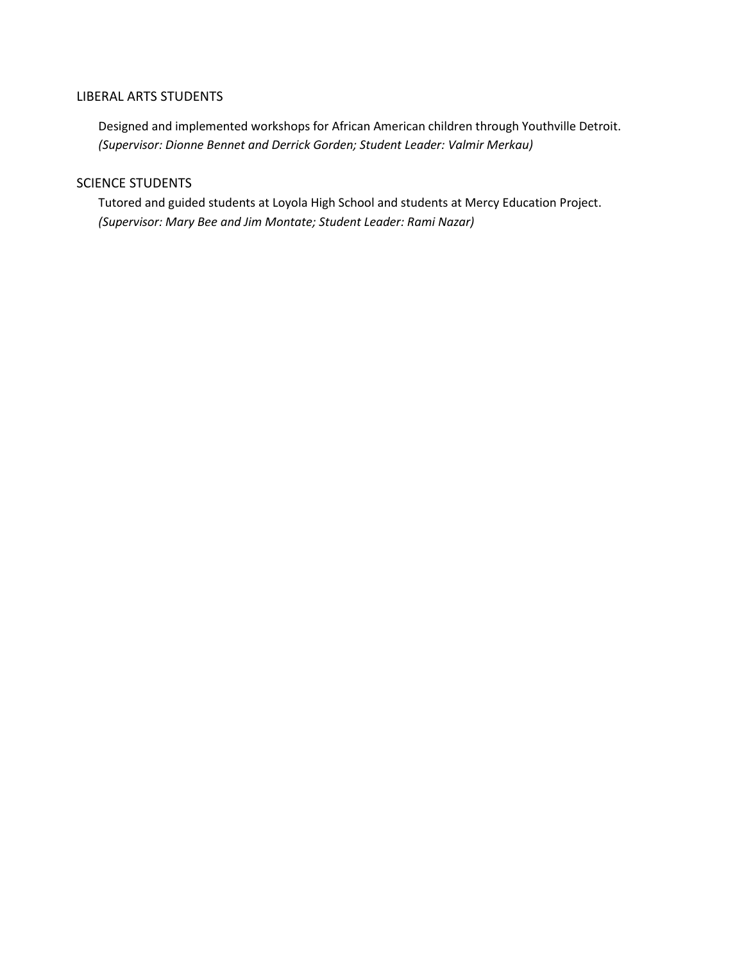## LIBERAL ARTS STUDENTS

Designed and implemented workshops for African American children through Youthville Detroit. *(Supervisor: Dionne Bennet and Derrick Gorden; Student Leader: Valmir Merkau)*

## SCIENCE STUDENTS

Tutored and guided students at Loyola High School and students at Mercy Education Project. *(Supervisor: Mary Bee and Jim Montate; Student Leader: Rami Nazar)*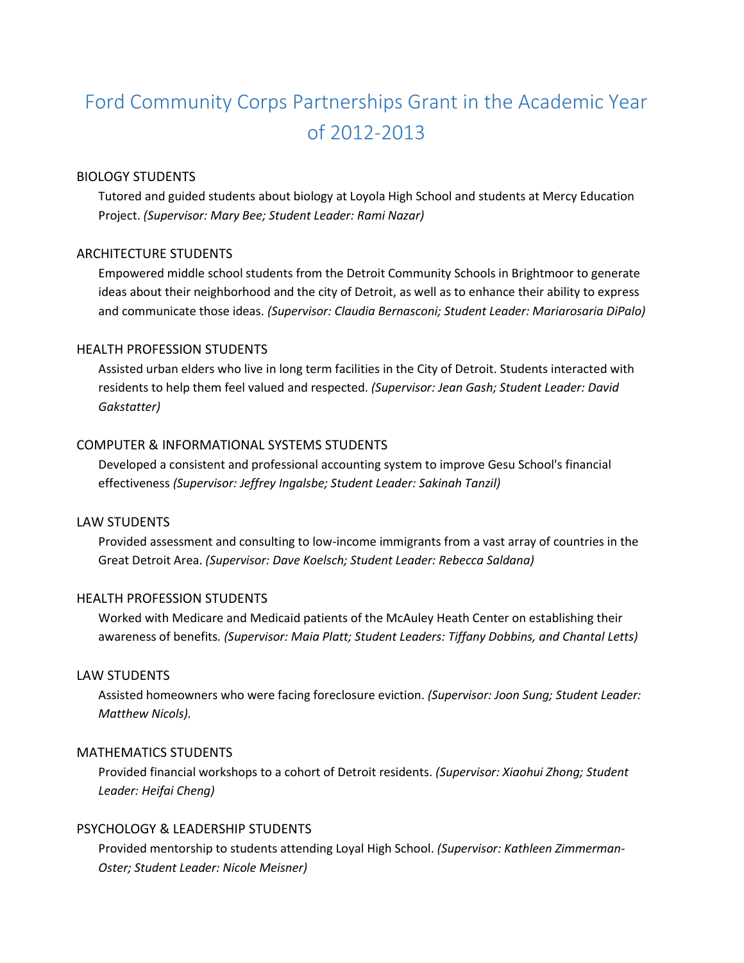# Ford Community Corps Partnerships Grant in the Academic Year of 2012-2013

## BIOLOGY STUDENTS

Tutored and guided students about biology at Loyola High School and students at Mercy Education Project. *(Supervisor: Mary Bee; Student Leader: Rami Nazar)*

## ARCHITECTURE STUDENTS

Empowered middle school students from the Detroit Community Schools in Brightmoor to generate ideas about their neighborhood and the city of Detroit, as well as to enhance their ability to express and communicate those ideas. *(Supervisor: Claudia Bernasconi; Student Leader: Mariarosaria DiPalo)*

## HEALTH PROFESSION STUDENTS

Assisted urban elders who live in long term facilities in the City of Detroit. Students interacted with residents to help them feel valued and respected. *(Supervisor: Jean Gash; Student Leader: David Gakstatter)*

## COMPUTER & INFORMATIONAL SYSTEMS STUDENTS

Developed a consistent and professional accounting system to improve Gesu School's financial effectiveness *(Supervisor: Jeffrey Ingalsbe; Student Leader: Sakinah Tanzil)*

### LAW STUDENTS

Provided assessment and consulting to low-income immigrants from a vast array of countries in the Great Detroit Area. *(Supervisor: Dave Koelsch; Student Leader: Rebecca Saldana)*

#### HEALTH PROFESSION STUDENTS

Worked with Medicare and Medicaid patients of the McAuley Heath Center on establishing their awareness of benefits*. (Supervisor: Maia Platt; Student Leaders: Tiffany Dobbins, and Chantal Letts)*

#### LAW STUDENTS

Assisted homeowners who were facing foreclosure eviction. *(Supervisor: Joon Sung; Student Leader: Matthew Nicols).*

#### MATHEMATICS STUDENTS

Provided financial workshops to a cohort of Detroit residents. *(Supervisor: Xiaohui Zhong; Student Leader: Heifai Cheng)*

## PSYCHOLOGY & LEADERSHIP STUDENTS

Provided mentorship to students attending Loyal High School. *(Supervisor: Kathleen Zimmerman-Oster; Student Leader: Nicole Meisner)*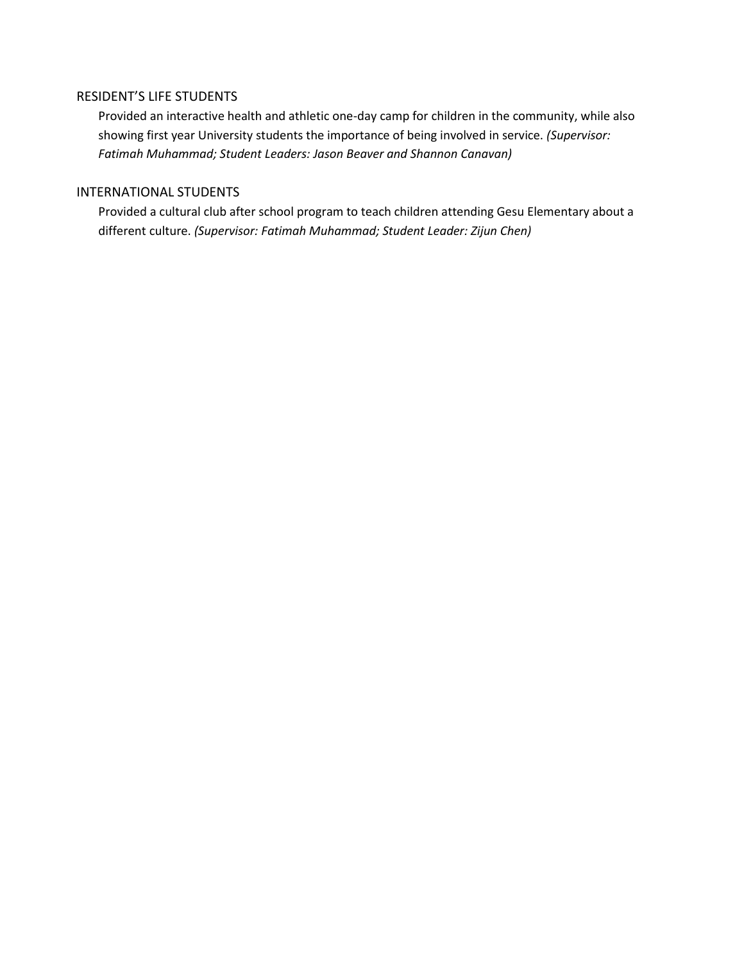## RESIDENT'S LIFE STUDENTS

Provided an interactive health and athletic one-day camp for children in the community, while also showing first year University students the importance of being involved in service. *(Supervisor: Fatimah Muhammad; Student Leaders: Jason Beaver and Shannon Canavan)*

## INTERNATIONAL STUDENTS

Provided a cultural club after school program to teach children attending Gesu Elementary about a different culture. *(Supervisor: Fatimah Muhammad; Student Leader: Zijun Chen)*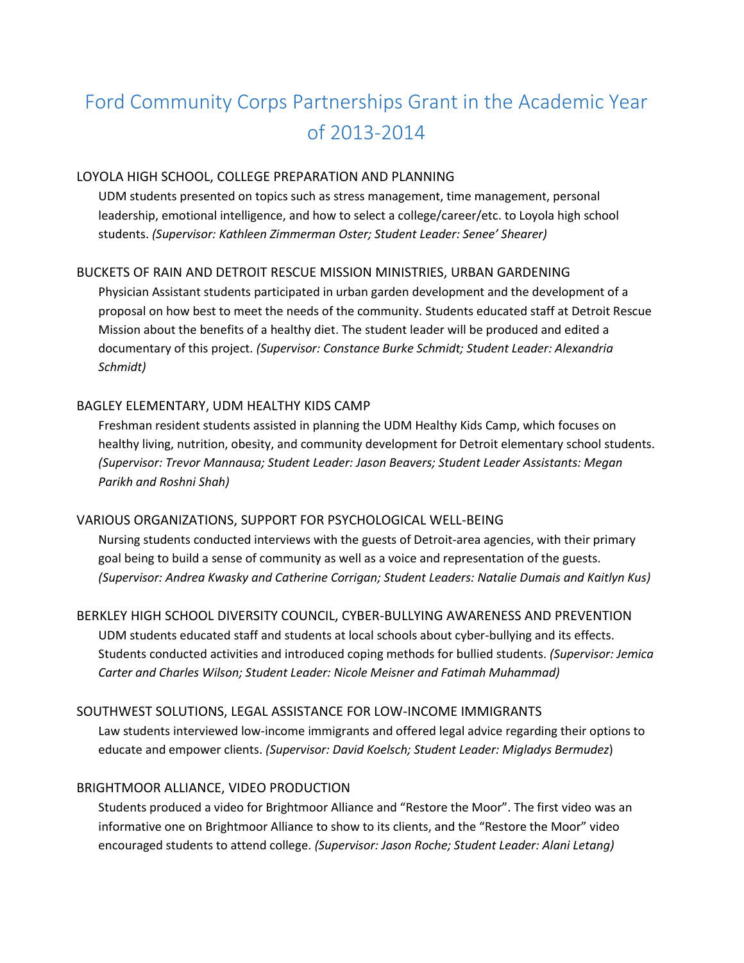# Ford Community Corps Partnerships Grant in the Academic Year of 2013-2014

## LOYOLA HIGH SCHOOL, COLLEGE PREPARATION AND PLANNING

UDM students presented on topics such as stress management, time management, personal leadership, emotional intelligence, and how to select a college/career/etc. to Loyola high school students. *(Supervisor: Kathleen Zimmerman Oster; Student Leader: Senee' Shearer)*

## BUCKETS OF RAIN AND DETROIT RESCUE MISSION MINISTRIES, URBAN GARDENING

Physician Assistant students participated in urban garden development and the development of a proposal on how best to meet the needs of the community. Students educated staff at Detroit Rescue Mission about the benefits of a healthy diet. The student leader will be produced and edited a documentary of this project. *(Supervisor: Constance Burke Schmidt; Student Leader: Alexandria Schmidt)*

## BAGLEY ELEMENTARY, UDM HEALTHY KIDS CAMP

Freshman resident students assisted in planning the UDM Healthy Kids Camp, which focuses on healthy living, nutrition, obesity, and community development for Detroit elementary school students. *(Supervisor: Trevor Mannausa; Student Leader: Jason Beavers; Student Leader Assistants: Megan Parikh and Roshni Shah)*

#### VARIOUS ORGANIZATIONS, SUPPORT FOR PSYCHOLOGICAL WELL-BEING

Nursing students conducted interviews with the guests of Detroit-area agencies, with their primary goal being to build a sense of community as well as a voice and representation of the guests. *(Supervisor: Andrea Kwasky and Catherine Corrigan; Student Leaders: Natalie Dumais and Kaitlyn Kus)*

## BERKLEY HIGH SCHOOL DIVERSITY COUNCIL, CYBER-BULLYING AWARENESS AND PREVENTION

UDM students educated staff and students at local schools about cyber-bullying and its effects. Students conducted activities and introduced coping methods for bullied students. *(Supervisor: Jemica Carter and Charles Wilson; Student Leader: Nicole Meisner and Fatimah Muhammad)*

#### SOUTHWEST SOLUTIONS, LEGAL ASSISTANCE FOR LOW-INCOME IMMIGRANTS

Law students interviewed low-income immigrants and offered legal advice regarding their options to educate and empower clients. *(Supervisor: David Koelsch; Student Leader: Migladys Bermudez*)

#### BRIGHTMOOR ALLIANCE, VIDEO PRODUCTION

Students produced a video for Brightmoor Alliance and "Restore the Moor". The first video was an informative one on Brightmoor Alliance to show to its clients, and the "Restore the Moor" video encouraged students to attend college. *(Supervisor: Jason Roche; Student Leader: Alani Letang)*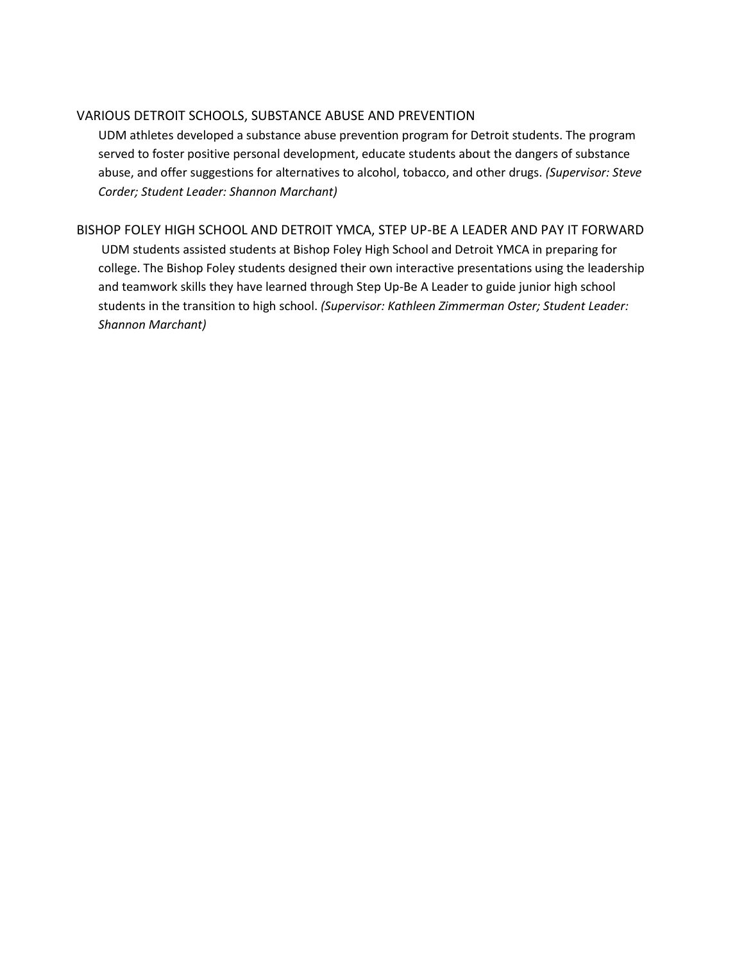## VARIOUS DETROIT SCHOOLS, SUBSTANCE ABUSE AND PREVENTION

UDM athletes developed a substance abuse prevention program for Detroit students. The program served to foster positive personal development, educate students about the dangers of substance abuse, and offer suggestions for alternatives to alcohol, tobacco, and other drugs. *(Supervisor: Steve Corder; Student Leader: Shannon Marchant)*

## BISHOP FOLEY HIGH SCHOOL AND DETROIT YMCA, STEP UP-BE A LEADER AND PAY IT FORWARD

UDM students assisted students at Bishop Foley High School and Detroit YMCA in preparing for college. The Bishop Foley students designed their own interactive presentations using the leadership and teamwork skills they have learned through Step Up-Be A Leader to guide junior high school students in the transition to high school. *(Supervisor: Kathleen Zimmerman Oster; Student Leader: Shannon Marchant)*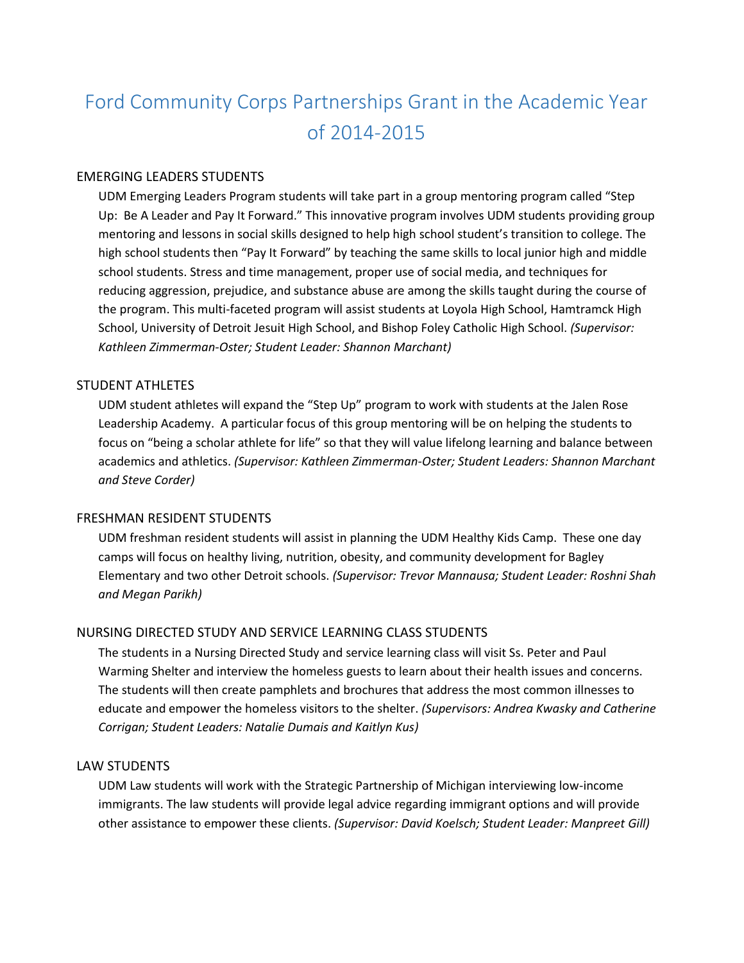# Ford Community Corps Partnerships Grant in the Academic Year of 2014-2015

## EMERGING LEADERS STUDENTS

UDM Emerging Leaders Program students will take part in a group mentoring program called "Step Up: Be A Leader and Pay It Forward." This innovative program involves UDM students providing group mentoring and lessons in social skills designed to help high school student's transition to college. The high school students then "Pay It Forward" by teaching the same skills to local junior high and middle school students. Stress and time management, proper use of social media, and techniques for reducing aggression, prejudice, and substance abuse are among the skills taught during the course of the program. This multi-faceted program will assist students at Loyola High School, Hamtramck High School, University of Detroit Jesuit High School, and Bishop Foley Catholic High School. *(Supervisor: Kathleen Zimmerman-Oster; Student Leader: Shannon Marchant)*

#### STUDENT ATHLETES

UDM student athletes will expand the "Step Up" program to work with students at the Jalen Rose Leadership Academy. A particular focus of this group mentoring will be on helping the students to focus on "being a scholar athlete for life" so that they will value lifelong learning and balance between academics and athletics. *(Supervisor: Kathleen Zimmerman-Oster; Student Leaders: Shannon Marchant and Steve Corder)*

#### FRESHMAN RESIDENT STUDENTS

UDM freshman resident students will assist in planning the UDM Healthy Kids Camp. These one day camps will focus on healthy living, nutrition, obesity, and community development for Bagley Elementary and two other Detroit schools. *(Supervisor: Trevor Mannausa; Student Leader: Roshni Shah and Megan Parikh)*

#### NURSING DIRECTED STUDY AND SERVICE LEARNING CLASS STUDENTS

The students in a Nursing Directed Study and service learning class will visit Ss. Peter and Paul Warming Shelter and interview the homeless guests to learn about their health issues and concerns. The students will then create pamphlets and brochures that address the most common illnesses to educate and empower the homeless visitors to the shelter. *(Supervisors: Andrea Kwasky and Catherine Corrigan; Student Leaders: Natalie Dumais and Kaitlyn Kus)*

## LAW STUDENTS

UDM Law students will work with the Strategic Partnership of Michigan interviewing low-income immigrants. The law students will provide legal advice regarding immigrant options and will provide other assistance to empower these clients. *(Supervisor: David Koelsch; Student Leader: Manpreet Gill)*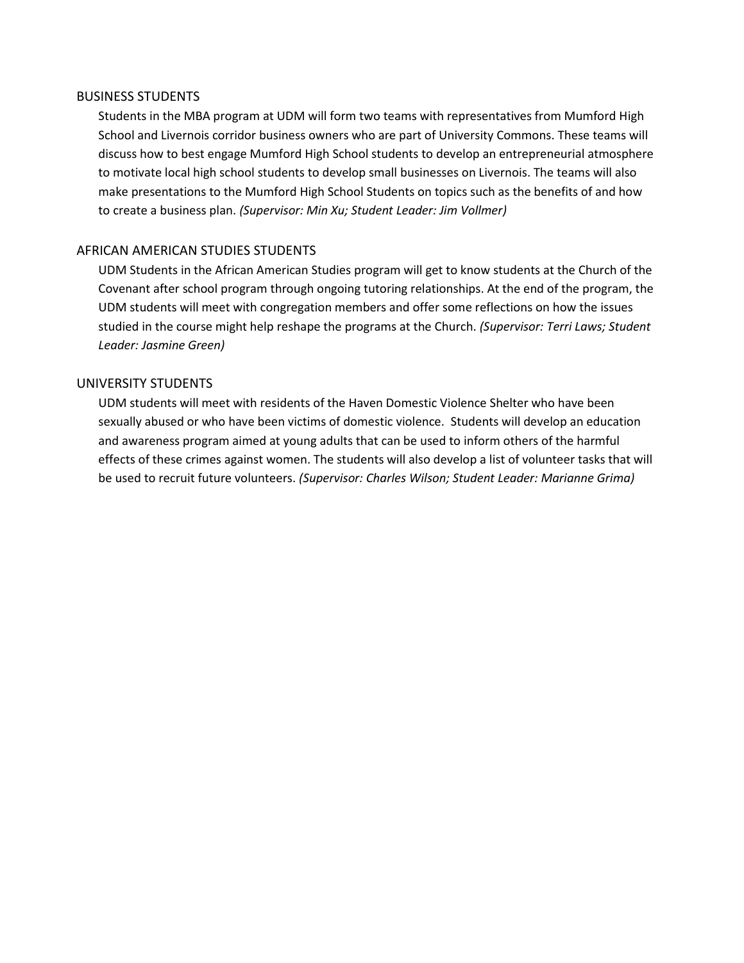#### BUSINESS STUDENTS

Students in the MBA program at UDM will form two teams with representatives from Mumford High School and Livernois corridor business owners who are part of University Commons. These teams will discuss how to best engage Mumford High School students to develop an entrepreneurial atmosphere to motivate local high school students to develop small businesses on Livernois. The teams will also make presentations to the Mumford High School Students on topics such as the benefits of and how to create a business plan. *(Supervisor: Min Xu; Student Leader: Jim Vollmer)*

## AFRICAN AMERICAN STUDIES STUDENTS

UDM Students in the African American Studies program will get to know students at the Church of the Covenant after school program through ongoing tutoring relationships. At the end of the program, the UDM students will meet with congregation members and offer some reflections on how the issues studied in the course might help reshape the programs at the Church. *(Supervisor: Terri Laws; Student Leader: Jasmine Green)*

#### UNIVERSITY STUDENTS

UDM students will meet with residents of the Haven Domestic Violence Shelter who have been sexually abused or who have been victims of domestic violence. Students will develop an education and awareness program aimed at young adults that can be used to inform others of the harmful effects of these crimes against women. The students will also develop a list of volunteer tasks that will be used to recruit future volunteers. *(Supervisor: Charles Wilson; Student Leader: Marianne Grima)*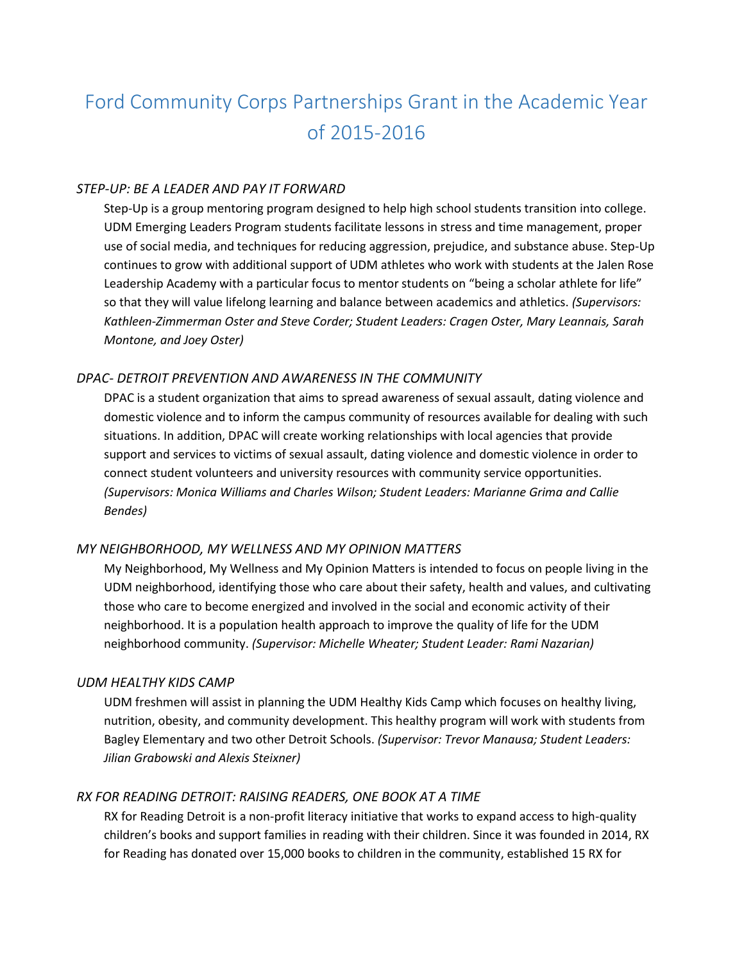# Ford Community Corps Partnerships Grant in the Academic Year of 2015-2016

## *STEP-UP: BE A LEADER AND PAY IT FORWARD*

Step-Up is a group mentoring program designed to help high school students transition into college. UDM Emerging Leaders Program students facilitate lessons in stress and time management, proper use of social media, and techniques for reducing aggression, prejudice, and substance abuse. Step-Up continues to grow with additional support of UDM athletes who work with students at the Jalen Rose Leadership Academy with a particular focus to mentor students on "being a scholar athlete for life" so that they will value lifelong learning and balance between academics and athletics. *(Supervisors: Kathleen-Zimmerman Oster and Steve Corder; Student Leaders: Cragen Oster, Mary Leannais, Sarah Montone, and Joey Oster)*

#### *DPAC- DETROIT PREVENTION AND AWARENESS IN THE COMMUNITY*

DPAC is a student organization that aims to spread awareness of sexual assault, dating violence and domestic violence and to inform the campus community of resources available for dealing with such situations. In addition, DPAC will create working relationships with local agencies that provide support and services to victims of sexual assault, dating violence and domestic violence in order to connect student volunteers and university resources with community service opportunities. *(Supervisors: Monica Williams and Charles Wilson; Student Leaders: Marianne Grima and Callie Bendes)*

#### *MY NEIGHBORHOOD, MY WELLNESS AND MY OPINION MATTERS*

My Neighborhood, My Wellness and My Opinion Matters is intended to focus on people living in the UDM neighborhood, identifying those who care about their safety, health and values, and cultivating those who care to become energized and involved in the social and economic activity of their neighborhood. It is a population health approach to improve the quality of life for the UDM neighborhood community. *(Supervisor: Michelle Wheater; Student Leader: Rami Nazarian)*

#### *UDM HEALTHY KIDS CAMP*

UDM freshmen will assist in planning the UDM Healthy Kids Camp which focuses on healthy living, nutrition, obesity, and community development. This healthy program will work with students from Bagley Elementary and two other Detroit Schools. *(Supervisor: Trevor Manausa; Student Leaders: Jilian Grabowski and Alexis Steixner)*

## *RX FOR READING DETROIT: RAISING READERS, ONE BOOK AT A TIME*

RX for Reading Detroit is a non-profit literacy initiative that works to expand access to high-quality children's books and support families in reading with their children. Since it was founded in 2014, RX for Reading has donated over 15,000 books to children in the community, established 15 RX for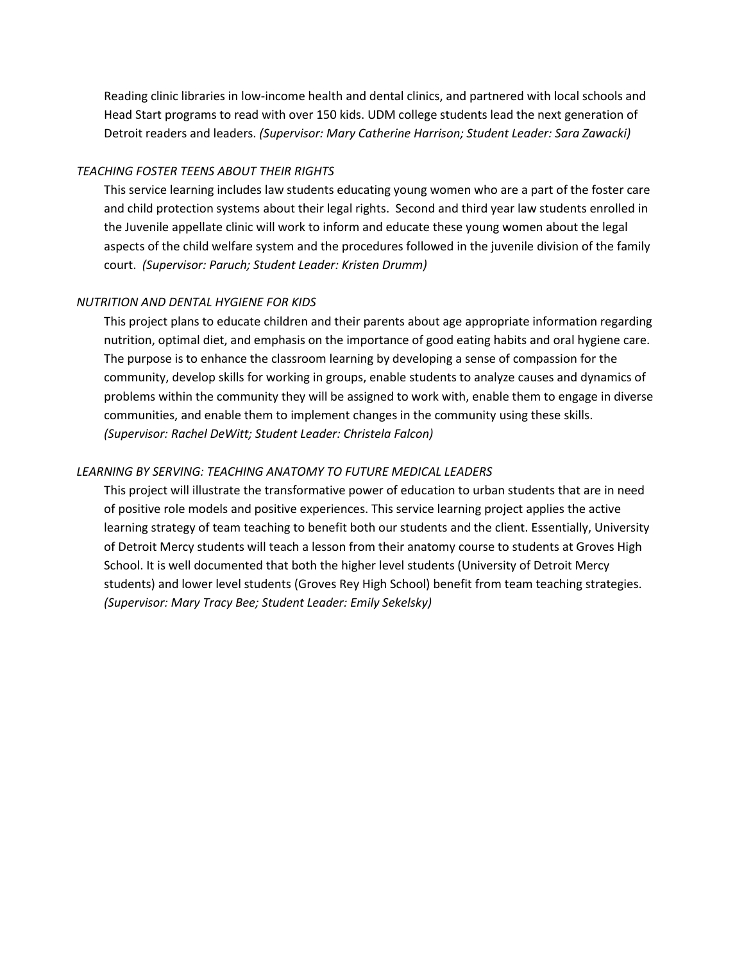Reading clinic libraries in low-income health and dental clinics, and partnered with local schools and Head Start programs to read with over 150 kids. UDM college students lead the next generation of Detroit readers and leaders. *(Supervisor: Mary Catherine Harrison; Student Leader: Sara Zawacki)*

#### *TEACHING FOSTER TEENS ABOUT THEIR RIGHTS*

This service learning includes law students educating young women who are a part of the foster care and child protection systems about their legal rights. Second and third year law students enrolled in the Juvenile appellate clinic will work to inform and educate these young women about the legal aspects of the child welfare system and the procedures followed in the juvenile division of the family court. *(Supervisor: Paruch; Student Leader: Kristen Drumm)*

#### *NUTRITION AND DENTAL HYGIENE FOR KIDS*

This project plans to educate children and their parents about age appropriate information regarding nutrition, optimal diet, and emphasis on the importance of good eating habits and oral hygiene care. The purpose is to enhance the classroom learning by developing a sense of compassion for the community, develop skills for working in groups, enable students to analyze causes and dynamics of problems within the community they will be assigned to work with, enable them to engage in diverse communities, and enable them to implement changes in the community using these skills. *(Supervisor: Rachel DeWitt; Student Leader: Christela Falcon)*

#### *LEARNING BY SERVING: TEACHING ANATOMY TO FUTURE MEDICAL LEADERS*

This project will illustrate the transformative power of education to urban students that are in need of positive role models and positive experiences. This service learning project applies the active learning strategy of team teaching to benefit both our students and the client. Essentially, University of Detroit Mercy students will teach a lesson from their anatomy course to students at Groves High School. It is well documented that both the higher level students (University of Detroit Mercy students) and lower level students (Groves Rey High School) benefit from team teaching strategies. *(Supervisor: Mary Tracy Bee; Student Leader: Emily Sekelsky)*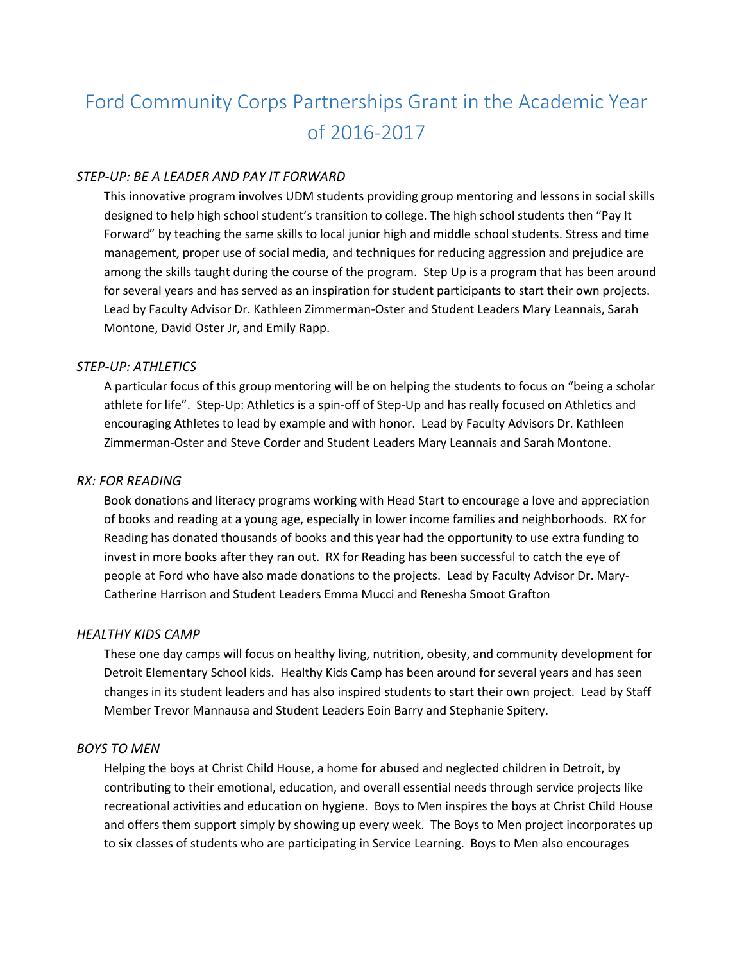# Ford Community Corps Partnerships Grant in the Academic Year of 2016-2017

## *STEP-UP: BE A LEADER AND PAY IT FORWARD*

This innovative program involves UDM students providing group mentoring and lessons in social skills designed to help high school student's transition to college. The high school students then "Pay It Forward" by teaching the same skills to local junior high and middle school students. Stress and time management, proper use of social media, and techniques for reducing aggression and prejudice are among the skills taught during the course of the program. Step Up is a program that has been around for several years and has served as an inspiration for student participants to start their own projects. Lead by Faculty Advisor Dr. Kathleen Zimmerman-Oster and Student Leaders Mary Leannais, Sarah Montone, David Oster Jr, and Emily Rapp.

#### *STEP-UP: ATHLETICS*

A particular focus of this group mentoring will be on helping the students to focus on "being a scholar athlete for life". Step-Up: Athletics is a spin-off of Step-Up and has really focused on Athletics and encouraging Athletes to lead by example and with honor. Lead by Faculty Advisors Dr. Kathleen Zimmerman-Oster and Steve Corder and Student Leaders Mary Leannais and Sarah Montone.

## *RX: FOR READING*

Book donations and literacy programs working with Head Start to encourage a love and appreciation of books and reading at a young age, especially in lower income families and neighborhoods. RX for Reading has donated thousands of books and this year had the opportunity to use extra funding to invest in more books after they ran out. RX for Reading has been successful to catch the eye of people at Ford who have also made donations to the projects. Lead by Faculty Advisor Dr. Mary-Catherine Harrison and Student Leaders Emma Mucci and Renesha Smoot Grafton

#### *HEALTHY KIDS CAMP*

These one day camps will focus on healthy living, nutrition, obesity, and community development for Detroit Elementary School kids. Healthy Kids Camp has been around for several years and has seen changes in its student leaders and has also inspired students to start their own project. Lead by Staff Member Trevor Mannausa and Student Leaders Eoin Barry and Stephanie Spitery.

## *BOYS TO MEN*

Helping the boys at Christ Child House, a home for abused and neglected children in Detroit, by contributing to their emotional, education, and overall essential needs through service projects like recreational activities and education on hygiene. Boys to Men inspires the boys at Christ Child House and offers them support simply by showing up every week. The Boys to Men project incorporates up to six classes of students who are participating in Service Learning. Boys to Men also encourages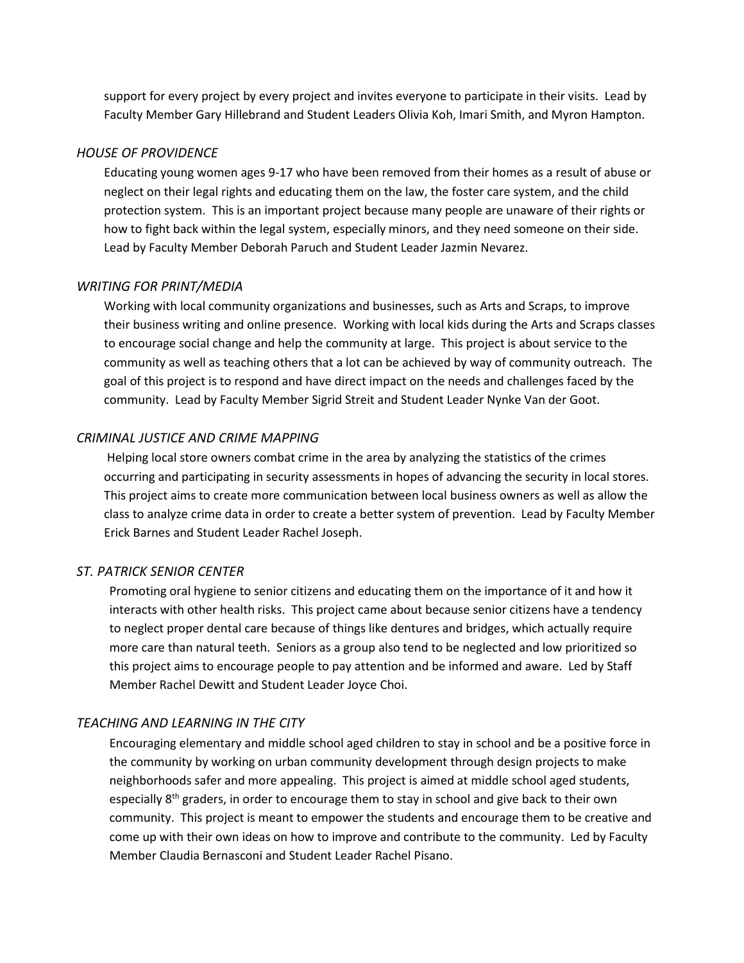support for every project by every project and invites everyone to participate in their visits. Lead by Faculty Member Gary Hillebrand and Student Leaders Olivia Koh, Imari Smith, and Myron Hampton.

#### *HOUSE OF PROVIDENCE*

Educating young women ages 9-17 who have been removed from their homes as a result of abuse or neglect on their legal rights and educating them on the law, the foster care system, and the child protection system. This is an important project because many people are unaware of their rights or how to fight back within the legal system, especially minors, and they need someone on their side. Lead by Faculty Member Deborah Paruch and Student Leader Jazmin Nevarez.

#### *WRITING FOR PRINT/MEDIA*

Working with local community organizations and businesses, such as Arts and Scraps, to improve their business writing and online presence. Working with local kids during the Arts and Scraps classes to encourage social change and help the community at large. This project is about service to the community as well as teaching others that a lot can be achieved by way of community outreach. The goal of this project is to respond and have direct impact on the needs and challenges faced by the community. Lead by Faculty Member Sigrid Streit and Student Leader Nynke Van der Goot.

#### *CRIMINAL JUSTICE AND CRIME MAPPING*

Helping local store owners combat crime in the area by analyzing the statistics of the crimes occurring and participating in security assessments in hopes of advancing the security in local stores. This project aims to create more communication between local business owners as well as allow the class to analyze crime data in order to create a better system of prevention. Lead by Faculty Member Erick Barnes and Student Leader Rachel Joseph.

#### *ST. PATRICK SENIOR CENTER*

Promoting oral hygiene to senior citizens and educating them on the importance of it and how it interacts with other health risks. This project came about because senior citizens have a tendency to neglect proper dental care because of things like dentures and bridges, which actually require more care than natural teeth. Seniors as a group also tend to be neglected and low prioritized so this project aims to encourage people to pay attention and be informed and aware. Led by Staff Member Rachel Dewitt and Student Leader Joyce Choi.

#### *TEACHING AND LEARNING IN THE CITY*

Encouraging elementary and middle school aged children to stay in school and be a positive force in the community by working on urban community development through design projects to make neighborhoods safer and more appealing. This project is aimed at middle school aged students, especially  $8<sup>th</sup>$  graders, in order to encourage them to stay in school and give back to their own community. This project is meant to empower the students and encourage them to be creative and come up with their own ideas on how to improve and contribute to the community. Led by Faculty Member Claudia Bernasconi and Student Leader Rachel Pisano.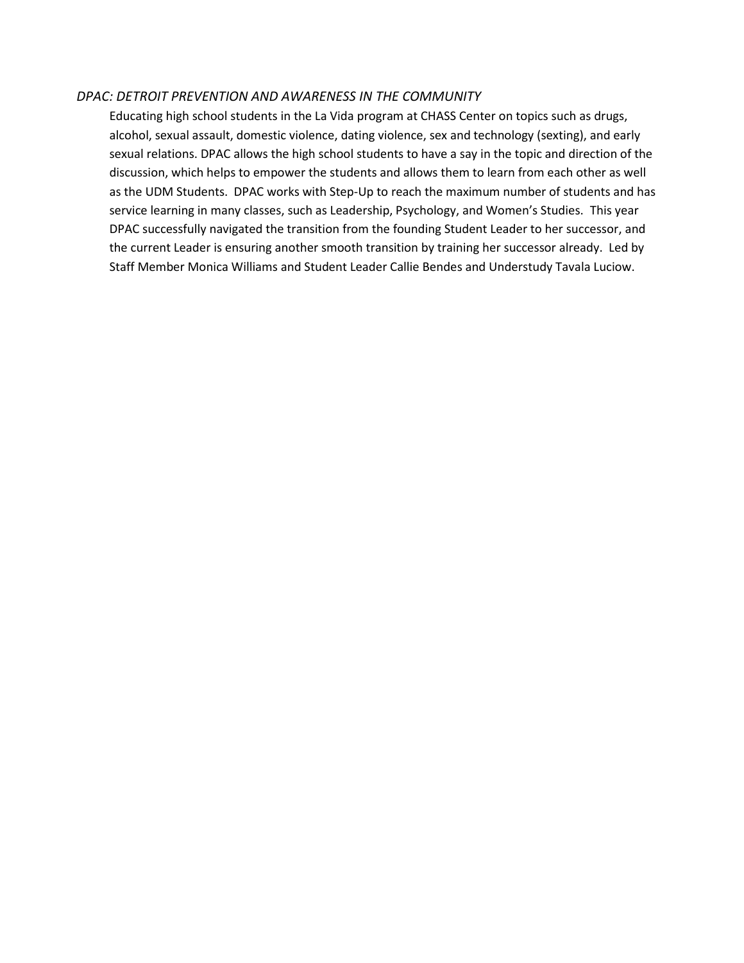#### *DPAC: DETROIT PREVENTION AND AWARENESS IN THE COMMUNITY*

Educating high school students in the La Vida program at CHASS Center on topics such as drugs, alcohol, sexual assault, domestic violence, dating violence, sex and technology (sexting), and early sexual relations. DPAC allows the high school students to have a say in the topic and direction of the discussion, which helps to empower the students and allows them to learn from each other as well as the UDM Students. DPAC works with Step-Up to reach the maximum number of students and has service learning in many classes, such as Leadership, Psychology, and Women's Studies. This year DPAC successfully navigated the transition from the founding Student Leader to her successor, and the current Leader is ensuring another smooth transition by training her successor already. Led by Staff Member Monica Williams and Student Leader Callie Bendes and Understudy Tavala Luciow.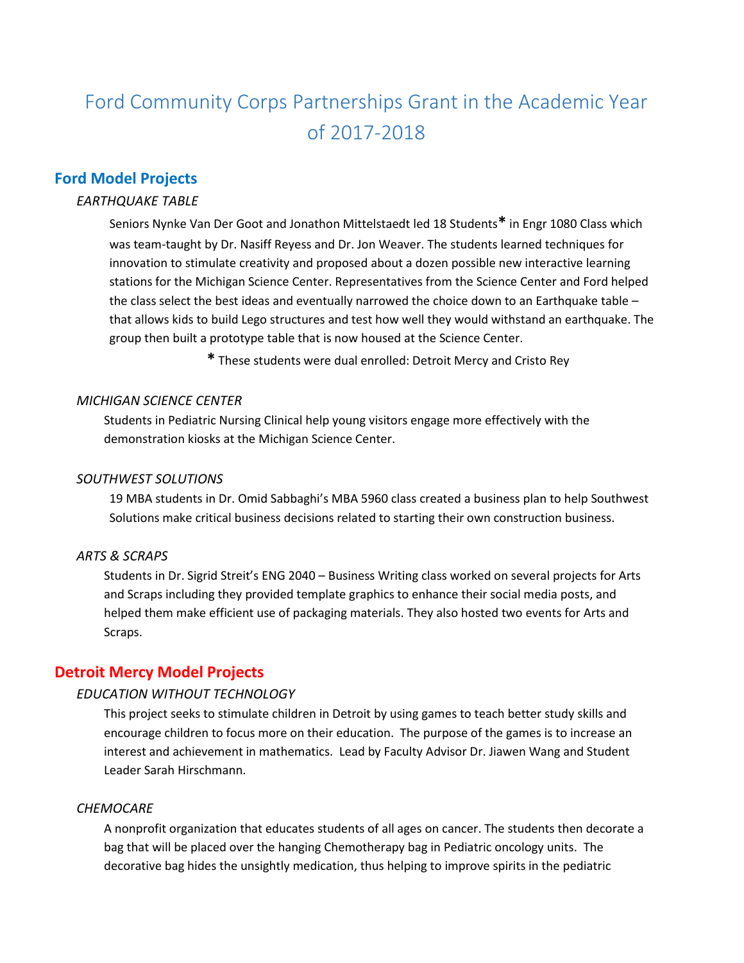# Ford Community Corps Partnerships Grant in the Academic Year of 2017-2018

## **Ford Model Projects**

## *EARTHQUAKE TABLE*

Seniors Nynke Van Der Goot and Jonathon Mittelstaedt led 18 Students**\*** in Engr 1080 Class which was team-taught by Dr. Nasiff Reyess and Dr. Jon Weaver. The students learned techniques for innovation to stimulate creativity and proposed about a dozen possible new interactive learning stations for the Michigan Science Center. Representatives from the Science Center and Ford helped the class select the best ideas and eventually narrowed the choice down to an Earthquake table – that allows kids to build Lego structures and test how well they would withstand an earthquake. The group then built a prototype table that is now housed at the Science Center.

**\*** These students were dual enrolled: Detroit Mercy and Cristo Rey

#### *MICHIGAN SCIENCE CENTER*

Students in Pediatric Nursing Clinical help young visitors engage more effectively with the demonstration kiosks at the Michigan Science Center.

#### *SOUTHWEST SOLUTIONS*

19 MBA students in Dr. Omid Sabbaghi's MBA 5960 class created a business plan to help Southwest Solutions make critical business decisions related to starting their own construction business.

#### *ARTS & SCRAPS*

Students in Dr. Sigrid Streit's ENG 2040 – Business Writing class worked on several projects for Arts and Scraps including they provided template graphics to enhance their social media posts, and helped them make efficient use of packaging materials. They also hosted two events for Arts and Scraps.

## **Detroit Mercy Model Projects**

#### *EDUCATION WITHOUT TECHNOLOGY*

This project seeks to stimulate children in Detroit by using games to teach better study skills and encourage children to focus more on their education. The purpose of the games is to increase an interest and achievement in mathematics. Lead by Faculty Advisor Dr. Jiawen Wang and Student Leader Sarah Hirschmann.

#### *CHEMOCARE*

A nonprofit organization that educates students of all ages on cancer. The students then decorate a bag that will be placed over the hanging Chemotherapy bag in Pediatric oncology units. The decorative bag hides the unsightly medication, thus helping to improve spirits in the pediatric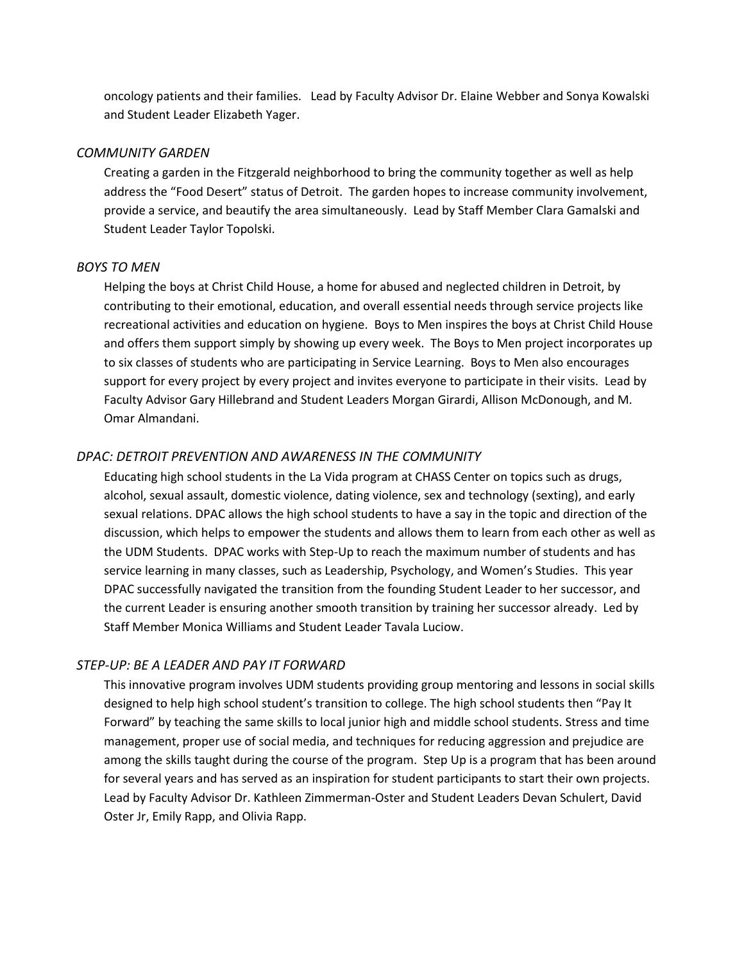oncology patients and their families. Lead by Faculty Advisor Dr. Elaine Webber and Sonya Kowalski and Student Leader Elizabeth Yager.

#### *COMMUNITY GARDEN*

Creating a garden in the Fitzgerald neighborhood to bring the community together as well as help address the "Food Desert" status of Detroit. The garden hopes to increase community involvement, provide a service, and beautify the area simultaneously. Lead by Staff Member Clara Gamalski and Student Leader Taylor Topolski.

#### *BOYS TO MEN*

Helping the boys at Christ Child House, a home for abused and neglected children in Detroit, by contributing to their emotional, education, and overall essential needs through service projects like recreational activities and education on hygiene. Boys to Men inspires the boys at Christ Child House and offers them support simply by showing up every week. The Boys to Men project incorporates up to six classes of students who are participating in Service Learning. Boys to Men also encourages support for every project by every project and invites everyone to participate in their visits. Lead by Faculty Advisor Gary Hillebrand and Student Leaders Morgan Girardi, Allison McDonough, and M. Omar Almandani.

## *DPAC: DETROIT PREVENTION AND AWARENESS IN THE COMMUNITY*

Educating high school students in the La Vida program at CHASS Center on topics such as drugs, alcohol, sexual assault, domestic violence, dating violence, sex and technology (sexting), and early sexual relations. DPAC allows the high school students to have a say in the topic and direction of the discussion, which helps to empower the students and allows them to learn from each other as well as the UDM Students. DPAC works with Step-Up to reach the maximum number of students and has service learning in many classes, such as Leadership, Psychology, and Women's Studies. This year DPAC successfully navigated the transition from the founding Student Leader to her successor, and the current Leader is ensuring another smooth transition by training her successor already. Led by Staff Member Monica Williams and Student Leader Tavala Luciow.

#### *STEP-UP: BE A LEADER AND PAY IT FORWARD*

This innovative program involves UDM students providing group mentoring and lessons in social skills designed to help high school student's transition to college. The high school students then "Pay It Forward" by teaching the same skills to local junior high and middle school students. Stress and time management, proper use of social media, and techniques for reducing aggression and prejudice are among the skills taught during the course of the program. Step Up is a program that has been around for several years and has served as an inspiration for student participants to start their own projects. Lead by Faculty Advisor Dr. Kathleen Zimmerman-Oster and Student Leaders Devan Schulert, David Oster Jr, Emily Rapp, and Olivia Rapp.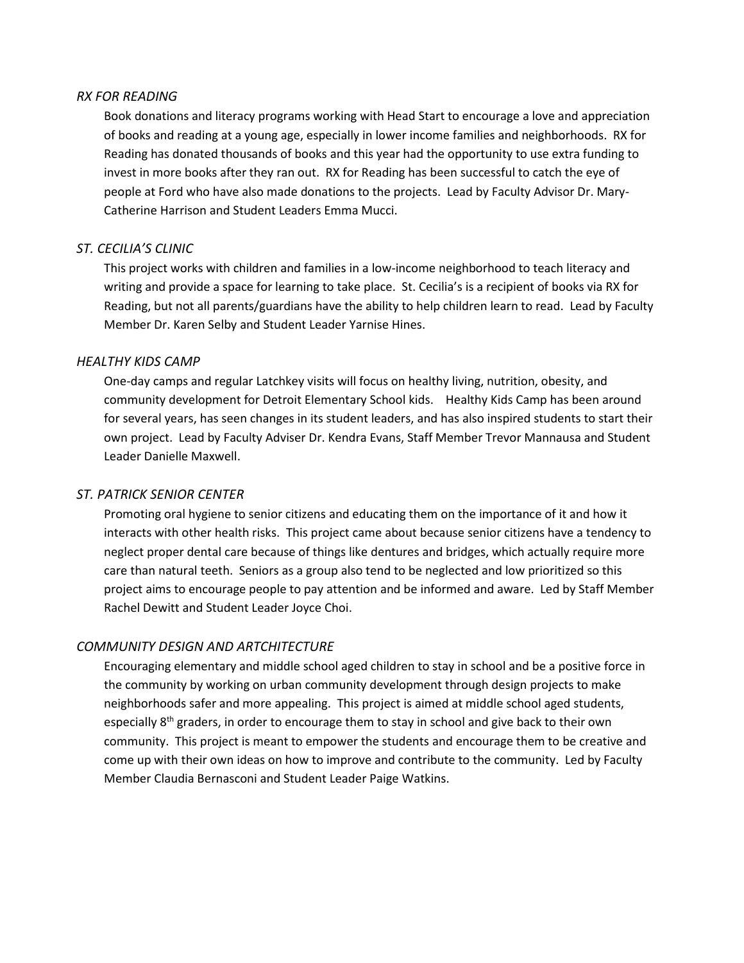#### *RX FOR READING*

Book donations and literacy programs working with Head Start to encourage a love and appreciation of books and reading at a young age, especially in lower income families and neighborhoods. RX for Reading has donated thousands of books and this year had the opportunity to use extra funding to invest in more books after they ran out. RX for Reading has been successful to catch the eye of people at Ford who have also made donations to the projects. Lead by Faculty Advisor Dr. Mary-Catherine Harrison and Student Leaders Emma Mucci.

#### *ST. CECILIA'S CLINIC*

This project works with children and families in a low-income neighborhood to teach literacy and writing and provide a space for learning to take place. St. Cecilia's is a recipient of books via RX for Reading, but not all parents/guardians have the ability to help children learn to read. Lead by Faculty Member Dr. Karen Selby and Student Leader Yarnise Hines.

#### *HEALTHY KIDS CAMP*

One-day camps and regular Latchkey visits will focus on healthy living, nutrition, obesity, and community development for Detroit Elementary School kids. Healthy Kids Camp has been around for several years, has seen changes in its student leaders, and has also inspired students to start their own project. Lead by Faculty Adviser Dr. Kendra Evans, Staff Member Trevor Mannausa and Student Leader Danielle Maxwell.

#### *ST. PATRICK SENIOR CENTER*

Promoting oral hygiene to senior citizens and educating them on the importance of it and how it interacts with other health risks. This project came about because senior citizens have a tendency to neglect proper dental care because of things like dentures and bridges, which actually require more care than natural teeth. Seniors as a group also tend to be neglected and low prioritized so this project aims to encourage people to pay attention and be informed and aware. Led by Staff Member Rachel Dewitt and Student Leader Joyce Choi.

#### *COMMUNITY DESIGN AND ARTCHITECTURE*

Encouraging elementary and middle school aged children to stay in school and be a positive force in the community by working on urban community development through design projects to make neighborhoods safer and more appealing. This project is aimed at middle school aged students, especially 8<sup>th</sup> graders, in order to encourage them to stay in school and give back to their own community. This project is meant to empower the students and encourage them to be creative and come up with their own ideas on how to improve and contribute to the community. Led by Faculty Member Claudia Bernasconi and Student Leader Paige Watkins.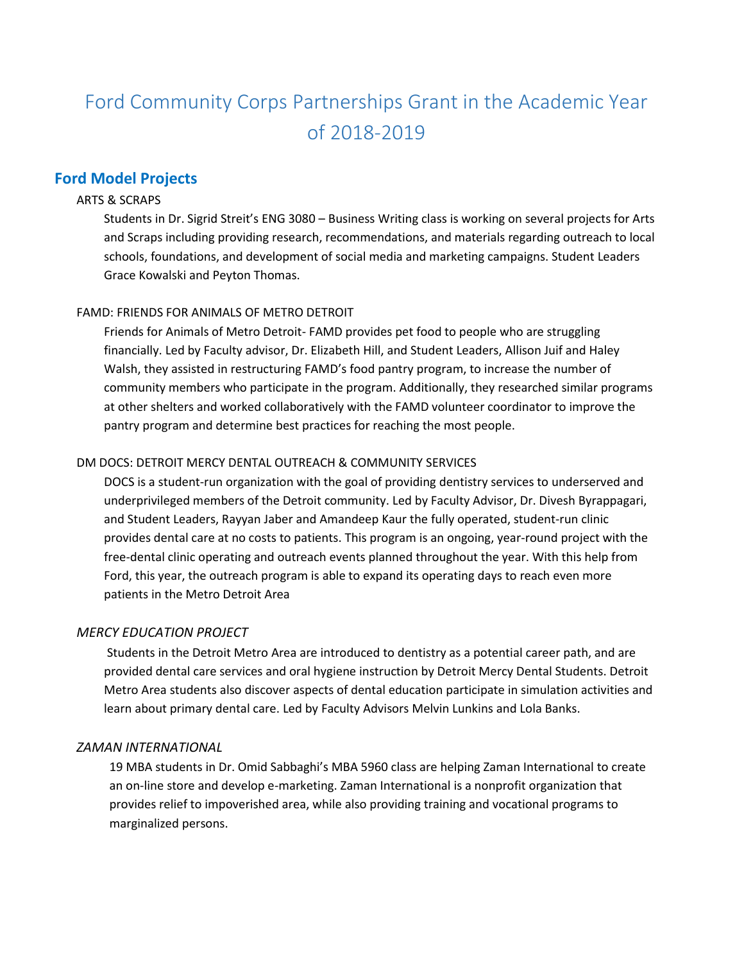# Ford Community Corps Partnerships Grant in the Academic Year of 2018-2019

## **Ford Model Projects**

#### ARTS & SCRAPS

Students in Dr. Sigrid Streit's ENG 3080 – Business Writing class is working on several projects for Arts and Scraps including providing research, recommendations, and materials regarding outreach to local schools, foundations, and development of social media and marketing campaigns. Student Leaders Grace Kowalski and Peyton Thomas.

#### FAMD: FRIENDS FOR ANIMALS OF METRO DETROIT

Friends for Animals of Metro Detroit- FAMD provides pet food to people who are struggling financially. Led by Faculty advisor, Dr. Elizabeth Hill, and Student Leaders, Allison Juif and Haley Walsh, they assisted in restructuring FAMD's food pantry program, to increase the number of community members who participate in the program. Additionally, they researched similar programs at other shelters and worked collaboratively with the FAMD volunteer coordinator to improve the pantry program and determine best practices for reaching the most people.

#### DM DOCS: DETROIT MERCY DENTAL OUTREACH & COMMUNITY SERVICES

DOCS is a student-run organization with the goal of providing dentistry services to underserved and underprivileged members of the Detroit community. Led by Faculty Advisor, Dr. Divesh Byrappagari, and Student Leaders, Rayyan Jaber and Amandeep Kaur the fully operated, student-run clinic provides dental care at no costs to patients. This program is an ongoing, year-round project with the free-dental clinic operating and outreach events planned throughout the year. With this help from Ford, this year, the outreach program is able to expand its operating days to reach even more patients in the Metro Detroit Area

#### *MERCY EDUCATION PROJECT*

Students in the Detroit Metro Area are introduced to dentistry as a potential career path, and are provided dental care services and oral hygiene instruction by Detroit Mercy Dental Students. Detroit Metro Area students also discover aspects of dental education participate in simulation activities and learn about primary dental care. Led by Faculty Advisors Melvin Lunkins and Lola Banks.

#### *ZAMAN INTERNATIONAL*

19 MBA students in Dr. Omid Sabbaghi's MBA 5960 class are helping Zaman International to create an on-line store and develop e-marketing. Zaman International is a nonprofit organization that provides relief to impoverished area, while also providing training and vocational programs to marginalized persons.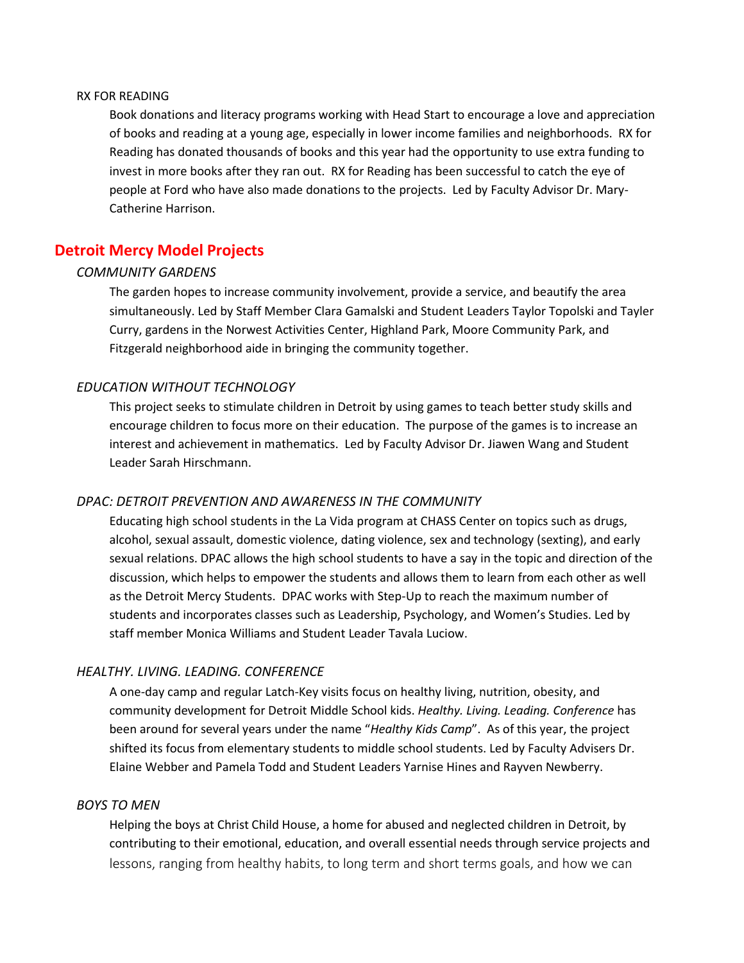#### RX FOR READING

Book donations and literacy programs working with Head Start to encourage a love and appreciation of books and reading at a young age, especially in lower income families and neighborhoods. RX for Reading has donated thousands of books and this year had the opportunity to use extra funding to invest in more books after they ran out. RX for Reading has been successful to catch the eye of people at Ford who have also made donations to the projects. Led by Faculty Advisor Dr. Mary-Catherine Harrison.

## **Detroit Mercy Model Projects**

#### *COMMUNITY GARDENS*

The garden hopes to increase community involvement, provide a service, and beautify the area simultaneously. Led by Staff Member Clara Gamalski and Student Leaders Taylor Topolski and Tayler Curry, gardens in the Norwest Activities Center, Highland Park, Moore Community Park, and Fitzgerald neighborhood aide in bringing the community together.

#### *EDUCATION WITHOUT TECHNOLOGY*

This project seeks to stimulate children in Detroit by using games to teach better study skills and encourage children to focus more on their education. The purpose of the games is to increase an interest and achievement in mathematics. Led by Faculty Advisor Dr. Jiawen Wang and Student Leader Sarah Hirschmann.

#### *DPAC: DETROIT PREVENTION AND AWARENESS IN THE COMMUNITY*

Educating high school students in the La Vida program at CHASS Center on topics such as drugs, alcohol, sexual assault, domestic violence, dating violence, sex and technology (sexting), and early sexual relations. DPAC allows the high school students to have a say in the topic and direction of the discussion, which helps to empower the students and allows them to learn from each other as well as the Detroit Mercy Students. DPAC works with Step-Up to reach the maximum number of students and incorporates classes such as Leadership, Psychology, and Women's Studies. Led by staff member Monica Williams and Student Leader Tavala Luciow.

### *HEALTHY. LIVING. LEADING. CONFERENCE*

A one-day camp and regular Latch-Key visits focus on healthy living, nutrition, obesity, and community development for Detroit Middle School kids. *Healthy. Living. Leading. Conference* has been around for several years under the name "*Healthy Kids Camp*". As of this year, the project shifted its focus from elementary students to middle school students. Led by Faculty Advisers Dr. Elaine Webber and Pamela Todd and Student Leaders Yarnise Hines and Rayven Newberry.

#### *BOYS TO MEN*

Helping the boys at Christ Child House, a home for abused and neglected children in Detroit, by contributing to their emotional, education, and overall essential needs through service projects and lessons, ranging from healthy habits, to long term and short terms goals, and how we can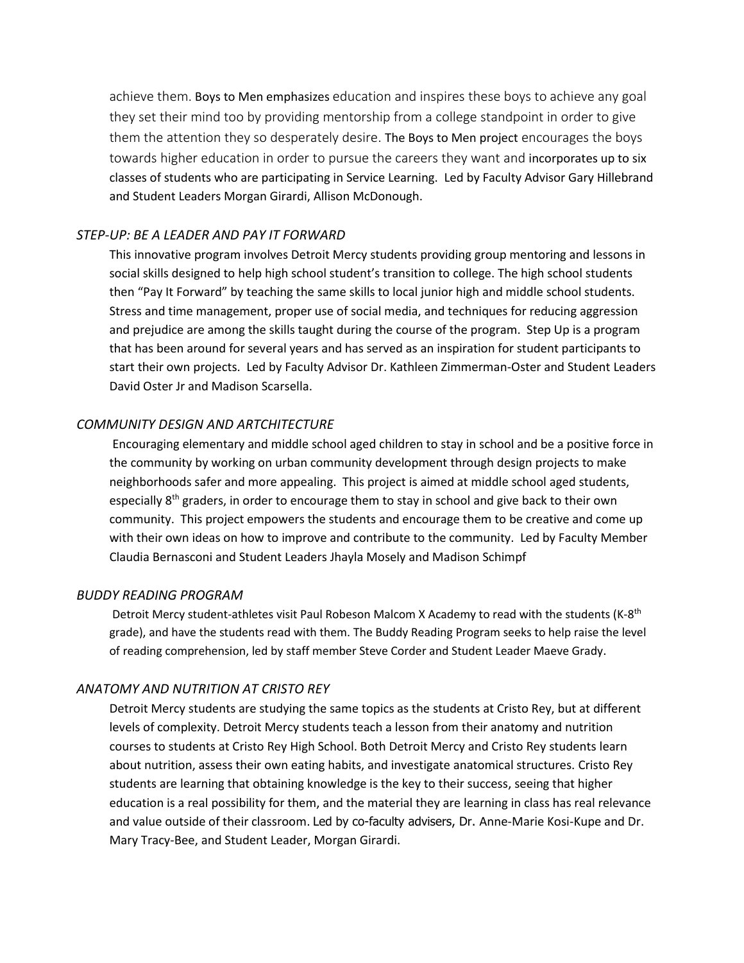achieve them. Boys to Men emphasizes education and inspires these boys to achieve any goal they set their mind too by providing mentorship from a college standpoint in order to give them the attention they so desperately desire. The Boys to Men project encourages the boys towards higher education in order to pursue the careers they want and incorporates up to six classes of students who are participating in Service Learning. Led by Faculty Advisor Gary Hillebrand and Student Leaders Morgan Girardi, Allison McDonough.

#### *STEP-UP: BE A LEADER AND PAY IT FORWARD*

This innovative program involves Detroit Mercy students providing group mentoring and lessons in social skills designed to help high school student's transition to college. The high school students then "Pay It Forward" by teaching the same skills to local junior high and middle school students. Stress and time management, proper use of social media, and techniques for reducing aggression and prejudice are among the skills taught during the course of the program. Step Up is a program that has been around for several years and has served as an inspiration for student participants to start their own projects. Led by Faculty Advisor Dr. Kathleen Zimmerman-Oster and Student Leaders David Oster Jr and Madison Scarsella.

#### *COMMUNITY DESIGN AND ARTCHITECTURE*

Encouraging elementary and middle school aged children to stay in school and be a positive force in the community by working on urban community development through design projects to make neighborhoods safer and more appealing. This project is aimed at middle school aged students, especially  $8<sup>th</sup>$  graders, in order to encourage them to stay in school and give back to their own community. This project empowers the students and encourage them to be creative and come up with their own ideas on how to improve and contribute to the community. Led by Faculty Member Claudia Bernasconi and Student Leaders Jhayla Mosely and Madison Schimpf

#### *BUDDY READING PROGRAM*

Detroit Mercy student-athletes visit Paul Robeson Malcom X Academy to read with the students (K-8<sup>th</sup> grade), and have the students read with them. The Buddy Reading Program seeks to help raise the level of reading comprehension, led by staff member Steve Corder and Student Leader Maeve Grady.

## *ANATOMY AND NUTRITION AT CRISTO REY*

Detroit Mercy students are studying the same topics as the students at Cristo Rey, but at different levels of complexity. Detroit Mercy students teach a lesson from their anatomy and nutrition courses to students at Cristo Rey High School. Both Detroit Mercy and Cristo Rey students learn about nutrition, assess their own eating habits, and investigate anatomical structures. Cristo Rey students are learning that obtaining knowledge is the key to their success, seeing that higher education is a real possibility for them, and the material they are learning in class has real relevance and value outside of their classroom. Led by co-faculty advisers, Dr. Anne-Marie Kosi-Kupe and Dr. Mary Tracy-Bee, and Student Leader, Morgan Girardi.